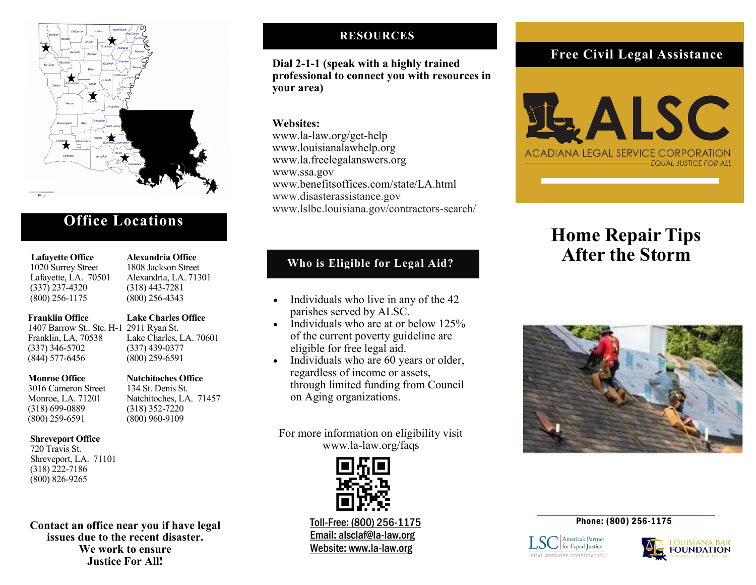

## **Office Locations**

#### **Lafayette Office Alexandria Office**

 1020 Surrey Street 1808 Jackson Street Lafayette, LA. 70501 Alexandria, LA. 71301 (337) 237-4320 (318) 443-7281 (800) 256-1175 (800) 256-4343

#### **Franklin Office Lake Charles Office**

1407 Barrow St.. Ste. H-1 2911 Ryan St. Franklin, LA. 70538 Lake Charles, LA. 70601  $(337)$  346-5702 (844) 577-6456 (800) 259-6591

#### **Monroe Office Natchitoches Office**

 3016 Cameron Street 134 St. Denis St. Monroe, LA. 71201 Natchitoches, LA. 71457 (318) 699-0889 (318) 352-7220 (800) 259-6591 (800) 960-9109

## **Shreveport Office**

720 Travis St. Shreveport, LA. 71101 (318) 222-7186 (800) 826-9265

**Contact an office near you if have legal issues due to the recent disaster. We work to ensure Justice For All!**

## **RESOURCES**

**Dial 2-1-1 (speak with a highly trained professional to connect you with resources in your area)**

### **Websites:**

www.la-law.org/get-help www.louisianalawhelp.org www.la.freelegalanswers.org www.ssa.gov www.benefitsoffices.com/state/LA.html www.disasterassistance.gov www.lslbc.louisiana.gov/contractors-search/

## **Who is Eligible for Legal Aid?**

- Individuals who live in any of the 42 parishes served by ALSC.
- Individuals who are at or below 125% of the current poverty guideline are eligible for free legal aid.
- Individuals who are 60 years or older, regardless of income or assets, through limited funding from Council on Aging organizations.

For more information on eligibility visit www.la-law.org/faqs



Toll-Free: (800) 256-1175 Email: alsclaf@la-law.org Website: www.la-law.org

## **Free Civil Legal Assistance**



# **Home Repair Tips After the Storm**



#### Phone: (800) 256-1175